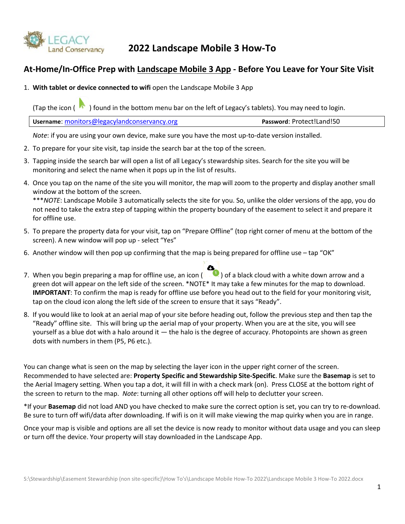

## **2022 Landscape Mobile 3 How-To**

### **At-Home/In-Office Prep with Landscape Mobile 3 App - Before You Leave for Your Site Visit**

1. **With tablet or device connected to wifi** open the Landscape Mobile 3 App

(Tap the icon  $(\bullet)$ ) found in the bottom menu bar on the left of Legacy's tablets). You may need to login.

| <b>Username:</b> monitors@legacylandconservancy.org | Password: Protect!Land!50 |
|-----------------------------------------------------|---------------------------|
|-----------------------------------------------------|---------------------------|

*Note*: if you are using your own device, make sure you have the most up-to-date version installed.

- 2. To prepare for your site visit, tap inside the search bar at the top of the screen.
- 3. Tapping inside the search bar will open a list of all Legacy's stewardship sites. Search for the site you will be monitoring and select the name when it pops up in the list of results.
- 4. Once you tap on the name of the site you will monitor, the map will zoom to the property and display another small window at the bottom of the screen.

\*\*\**NOTE*: Landscape Mobile 3 automatically selects the site for you. So, unlike the older versions of the app, you do not need to take the extra step of tapping within the property boundary of the easement to select it and prepare it for offline use.

- 5. To prepare the property data for your visit, tap on "Prepare Offline" (top right corner of menu at the bottom of the screen). A new window will pop up - select "Yes"
- 6. Another window will then pop up confirming that the map is being prepared for offline use tap "OK"
- 7. When you begin preparing a map for offline use, an icon ( ) of a black cloud with a white down arrow and a green dot will appear on the left side of the screen. \*NOTE\* It may take a few minutes for the map to download. **IMPORTANT**: To confirm the map is ready for offline use before you head out to the field for your monitoring visit, tap on the cloud icon along the left side of the screen to ensure that it says "Ready".
- 8. If you would like to look at an aerial map of your site before heading out, follow the previous step and then tap the "Ready" offline site. This will bring up the aerial map of your property. When you are at the site, you will see yourself as a blue dot with a halo around it — the halo is the degree of accuracy. Photopoints are shown as green dots with numbers in them (P5, P6 etc.).

You can change what is seen on the map by selecting the layer icon in the upper right corner of the screen. Recommended to have selected are: **Property Specific and Stewardship Site-Specific**. Make sure the **Basemap** is set to the Aerial Imagery setting. When you tap a dot, it will fill in with a check mark (on). Press CLOSE at the bottom right of the screen to return to the map. *Note*: turning all other options off will help to declutter your screen.

\*If your **Basemap** did not load AND you have checked to make sure the correct option is set, you can try to re-download. Be sure to turn off wifi/data after downloading. If wifi is on it will make viewing the map quirky when you are in range.

Once your map is visible and options are all set the device is now ready to monitor without data usage and you can sleep or turn off the device. Your property will stay downloaded in the Landscape App.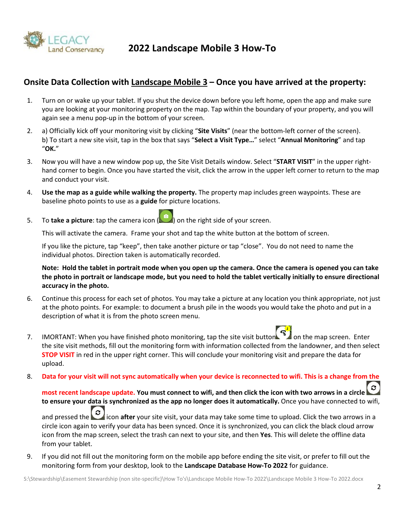

**2022 Landscape Mobile 3 How-To**

### **Onsite Data Collection with Landscape Mobile 3 – Once you have arrived at the property:**

- 1. Turn on or wake up your tablet. If you shut the device down before you left home, open the app and make sure you are looking at your monitoring property on the map. Tap within the boundary of your property, and you will again see a menu pop-up in the bottom of your screen.
- 2. a) Officially kick off your monitoring visit by clicking "**Site Visits**" (near the bottom-left corner of the screen). b) To start a new site visit, tap in the box that says "**Select a Visit Type…**" select "**Annual Monitoring**" and tap "**OK.**"
- 3. Now you will have a new window pop up, the Site Visit Details window. Select "**START VISIT**" in the upper righthand corner to begin. Once you have started the visit, click the arrow in the upper left corner to return to the map and conduct your visit.
- 4. **Use the map as a guide while walking the property.** The property map includes green waypoints. These are baseline photo points to use as a **guide** for picture locations.
- 5. To **take a picture**: tap the camera icon (**Compart of the right side of your screen.**

This will activate the camera. Frame your shot and tap the white button at the bottom of screen.

If you like the picture, tap "keep", then take another picture or tap "close". You do not need to name the individual photos. Direction taken is automatically recorded.

**Note: Hold the tablet in portrait mode when you open up the camera. Once the camera is opened you can take the photo in portrait or landscape mode, but you need to hold the tablet vertically initially to ensure directional accuracy in the photo.** 

- 6. Continue this process for each set of photos. You may take a picture at any location you think appropriate, not just at the photo points. For example: to document a brush pile in the woods you would take the photo and put in a description of what it is from the photo screen menu.
	-
- 7. IMORTANT: When you have finished photo monitoring, tap the site visit button  $\left[\begin{array}{c} \epsilon_0^{-1} \\ \epsilon_1 \end{array}\right]$  on the map screen. Enter the site visit methods, fill out the monitoring form with information collected from the landowner, and then select **STOP VISIT** in red in the upper right corner. This will conclude your monitoring visit and prepare the data for upload.
- 8. **Data for your visit will not sync automatically when your device is reconnected to wifi. This is a change from the**

**most recent landscape update. You must connect to wifi, and then click the icon with two arrows in a circle to ensure your data is synchronized as the app no longer does it automatically.** Once you have connected to wifi, and pressed the icon **after** your site visit, your data may take some time to upload. Click the two arrows in a circle icon again to verify your data has been synced. Once it is synchronized, you can click the black cloud arrow icon from the map screen, select the trash can next to your site, and then **Yes**. This will delete the offline data from your tablet.

9. If you did not fill out the monitoring form on the mobile app before ending the site visit, or prefer to fill out the monitoring form from your desktop, look to the **Landscape Database How-To 2022** for guidance.

S:\Stewardship\Easement Stewardship (non site-specific)\How To's\Landscape Mobile How-To 2022\Landscape Mobile 3 How-To 2022.docx